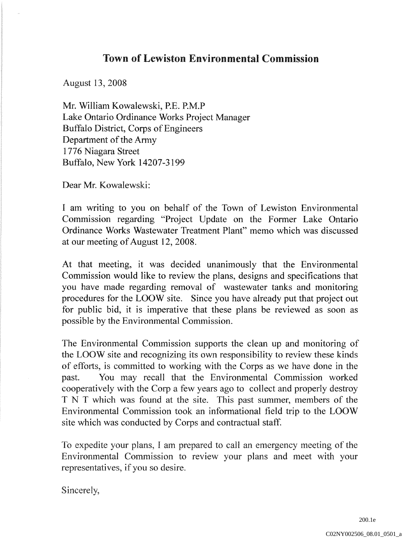## Town of Lewiston Environmental Commission

August 13, 2008

Mr. William Kowalewski, P.E. P.M.P Lake Ontario Ordinance Works Project Manager Buffalo District, Corps of Engineers Department of the Army 1776 Niagara Street Buffalo, New York 14207-3199

Dear Mr. Kowalewski:

I am writing to you on behalf of the Town of Lewiston Environmental Commission regarding "Project Update on the Former Lake Ontario Ordinance Works Wastewater Treatment Plant" memo which was discussed at our meeting of August 12,2008.

At that meeting, it was decided unanimously that the Environmental Commission would like to review the plans, designs and specifications that you have made regarding removal of wastewater tanks and monitoring procedures for the LOOW site. Since you have already put that project out for public bid, it is imperative that these plans be reviewed as soon as possible by the Environmental Commission.

The Environmental Commission supports the clean up and monitoring of the LOOW site and recognizing its own responsibility to review these kinds of efforts, is committed to working with the Corps as we have done in the past. You may recall that the Environmental Commission worked cooperatively with the Corp a few years ago to collect and properly destroy TNT which was found at the site. This past summer, members of the Environmental Commission took an informational field trip to the LOOW site which was conducted by Corps and contractual staff.

To expedite your plans, I am prepared to call an emergency meeting of the Environmental Commission to review your plans and meet with your representatives, if you so desire.

Sincerely,